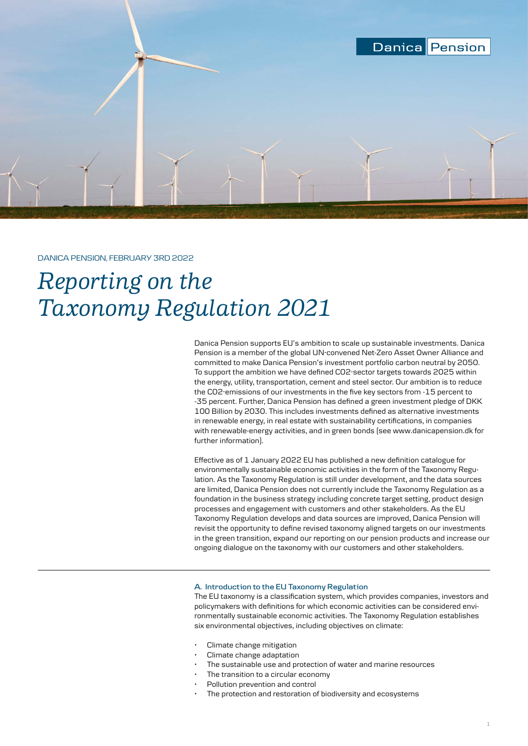

# DANICA PENSION, FEBRUARY 3RD 2022

# *Reporting on the Taxonomy Regulation 2021*

Danica Pension supports EU's ambition to scale up sustainable investments. Danica Pension is a member of the global UN-convened Net-Zero Asset Owner Alliance and committed to make Danica Pension's investment portfolio carbon neutral by 2050. To support the ambition we have defined CO2-sector targets towards 2025 within the energy, utility, transportation, cement and steel sector. Our ambition is to reduce the CO2-emissions of our investments in the five key sectors from -15 percent to -35 percent. Further, Danica Pension has defined a green investment pledge of DKK 100 Billion by 2030. This includes investments defined as alternative investments in renewable energy, in real estate with sustainability certifications, in companies with renewable-energy activities, and in green bonds (see www.danicapension.dk for further information).

Effective as of 1 January 2022 EU has published a new definition catalogue for environmentally sustainable economic activities in the form of the Taxonomy Regulation. As the Taxonomy Regulation is still under development, and the data sources are limited, Danica Pension does not currently include the Taxonomy Regulation as a foundation in the business strategy including concrete target setting, product design processes and engagement with customers and other stakeholders. As the EU Taxonomy Regulation develops and data sources are improved, Danica Pension will revisit the opportunity to define revised taxonomy aligned targets on our investments in the green transition, expand our reporting on our pension products and increase our ongoing dialogue on the taxonomy with our customers and other stakeholders.

## **A. Introduction to the EU Taxonomy Regulation**

The EU taxonomy is a classification system, which provides companies, investors and policymakers with definitions for which economic activities can be considered environmentally sustainable economic activities. The Taxonomy Regulation establishes six environmental objectives, including objectives on climate:

- Climate change mitigation
- Climate change adaptation
- The sustainable use and protection of water and marine resources
- The transition to a circular economy
- Pollution prevention and control
- The protection and restoration of biodiversity and ecosystems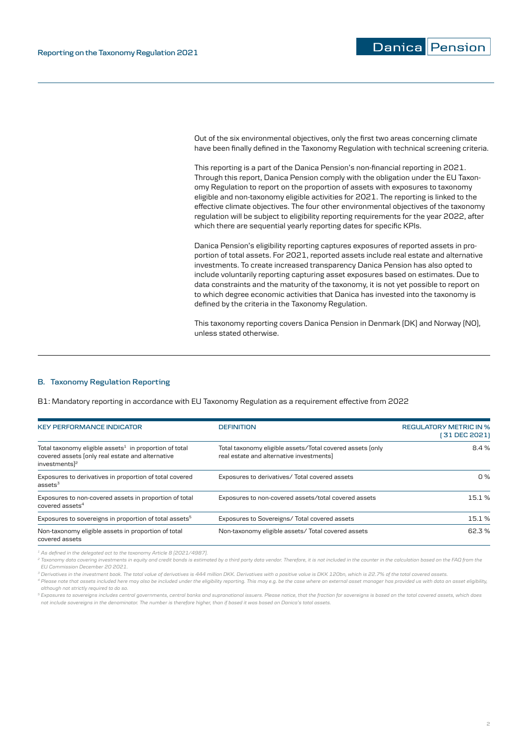**Danica** Pension

Out of the six environmental objectives, only the first two areas concerning climate have been finally defined in the Taxonomy Regulation with technical screening criteria.

This reporting is a part of the Danica Pension's non-financial reporting in 2021. Through this report, Danica Pension comply with the obligation under the EU Taxonomy Regulation to report on the proportion of assets with exposures to taxonomy eligible and non-taxonomy eligible activities for 2021. The reporting is linked to the effective climate objectives. The four other environmental objectives of the taxonomy regulation will be subject to eligibility reporting requirements for the year 2022, after which there are sequential yearly reporting dates for specific KPIs.

Danica Pension's eligibility reporting captures exposures of reported assets in proportion of total assets. For 2021, reported assets include real estate and alternative investments. To create increased transparency Danica Pension has also opted to include voluntarily reporting capturing asset exposures based on estimates. Due to data constraints and the maturity of the taxonomy, it is not yet possible to report on to which degree economic activities that Danica has invested into the taxonomy is defined by the criteria in the Taxonomy Regulation.

This taxonomy reporting covers Danica Pension in Denmark (DK) and Norway (NO), unless stated otherwise.

## **B. Taxonomy Regulation Reporting**

B1: Mandatory reporting in accordance with EU Taxonomy Regulation as a requirement effective from 2022

| <b>KEY PERFORMANCE INDICATOR</b>                                                                                                            | <b>DEFINITION</b>                                                                                     | <b>REGULATORY METRIC IN %</b><br>[31 DEC 2021] |
|---------------------------------------------------------------------------------------------------------------------------------------------|-------------------------------------------------------------------------------------------------------|------------------------------------------------|
| Total taxonomy eligible assets $1$ in proportion of total<br>covered assets (only real estate and alternative<br>$investments$ <sup>2</sup> | Total taxonomy eligible assets/Total covered assets (only<br>real estate and alternative investments) | 8.4%                                           |
| Exposures to derivatives in proportion of total covered<br>assets $3$                                                                       | Exposures to derivatives/ Total covered assets                                                        | 0%                                             |
| Exposures to non-covered assets in proportion of total<br>$covered$ assets <sup>4</sup>                                                     | Exposures to non-covered assets/total covered assets                                                  | 15.1%                                          |
| Exposures to sovereigns in proportion of total assets <sup>5</sup>                                                                          | Exposures to Sovereigns/Total covered assets                                                          | 15.1%                                          |
| Non-taxonomy eligible assets in proportion of total<br>covered assets                                                                       | Non-taxonomy eligible assets/ Total covered assets                                                    | 62.3%                                          |

*1 As defined in the delegated act to the taxonomy Article 8 (2021/4987).*

*<sup>2</sup> Taxonomy data covering investments in equity and credit bonds is estimated by a third party data vendor. Therefore, it is not included in the counter in the calculation based on the FAQ from the EU Commission December 20 2021.*

*<sup>3</sup> Derivatives in the investment book. The total value of derivatives is 444 million DKK. Derivatives with a positive value is DKK 120bn, which is 22.7% of the total covered assets.* 

<sup>4</sup> Please note that assets included here may also be included under the eligibility reporting. This may e.g. be the case where an external asset manager has provided us with data on asset eligibility, *although not strictly required to do so.*

*<sup>5</sup> Exposures to sovereigns includes central governments, central banks and supranational issuers. Please notice, that the fraction for sovereigns is based on the total covered assets, which does not include sovereigns in the denominator. The number is therefore higher, than if based it was based on Danica's total assets.*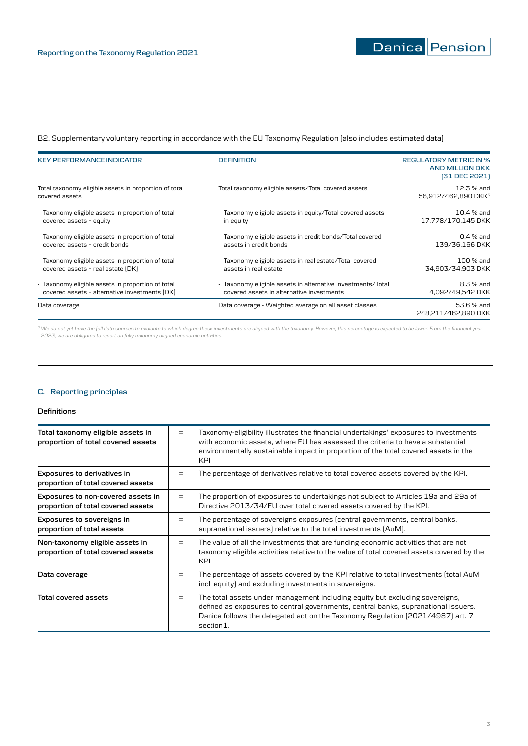# B2. Supplementary voluntary reporting in accordance with the EU Taxonomy Regulation (also includes estimated data)

| <b>KEY PERFORMANCE INDICATOR</b>                                        | <b>DEFINITION</b>                                           | <b>REGULATORY METRIC IN %</b><br><b>AND MILLION DKK</b><br>(31 DEC 2021) |
|-------------------------------------------------------------------------|-------------------------------------------------------------|--------------------------------------------------------------------------|
| Total taxonomy eligible assets in proportion of total<br>covered assets | Total taxonomy eligible assets/Total covered assets         | 12.3 % and<br>56,912/462,890 DKK <sup>6</sup>                            |
| - Taxonomy eligible assets in proportion of total                       | - Taxonomy eligible assets in equity/Total covered assets   | 10.4 % and                                                               |
| covered assets - equity                                                 | in equity                                                   | 17,778/170,145 DKK                                                       |
| - Taxonomy eligible assets in proportion of total                       | - Taxonomy eligible assets in credit bonds/Total covered    | $0.4%$ and                                                               |
| covered assets - credit bonds                                           | assets in credit bonds                                      | 139/36.166 DKK                                                           |
| - Taxonomy eligible assets in proportion of total                       | - Taxonomy eligible assets in real estate/Total covered     | 100 % and                                                                |
| covered assets - real estate (DK)                                       | assets in real estate                                       | 34,903/34,903 DKK                                                        |
| - Taxonomy eligible assets in proportion of total                       | - Taxonomy eligible assets in alternative investments/Total | 8.3 % and                                                                |
| covered assets - alternative investments (DK)                           | covered assets in alternative investments                   | 4,092/49,542 DKK                                                         |
| Data coverage                                                           | Data coverage - Weighted average on all asset classes       | 53.6 % and<br>248,211/462,890 DKK                                        |

<sup>s</sup> We do not yet have the full data sources to evaluate to which degree these investments are aligned with the taxonomy. However, this percentage is expected to be lower. From the financial year<br>2023, we are obligated to

# **C. Reporting principles**

## **Definitions**

| Total taxonomy eligible assets in<br>proportion of total covered assets  |     | Taxonomy-eligibility illustrates the financial undertakings' exposures to investments<br>with economic assets, where EU has assessed the criteria to have a substantial<br>environmentally sustainable impact in proportion of the total covered assets in the<br><b>KPI</b> |
|--------------------------------------------------------------------------|-----|------------------------------------------------------------------------------------------------------------------------------------------------------------------------------------------------------------------------------------------------------------------------------|
| Exposures to derivatives in<br>proportion of total covered assets        | =   | The percentage of derivatives relative to total covered assets covered by the KPI.                                                                                                                                                                                           |
| Exposures to non-covered assets in<br>proportion of total covered assets | $=$ | The proportion of exposures to undertakings not subject to Articles 19a and 29a of<br>Directive 2013/34/EU over total covered assets covered by the KPI.                                                                                                                     |
| Exposures to sovereigns in<br>proportion of total assets                 | =   | The percentage of sovereigns exposures (central governments, central banks,<br>supranational issuers) relative to the total investments (AuM).                                                                                                                               |
| Non-taxonomy eligible assets in<br>proportion of total covered assets    | =   | The value of all the investments that are funding economic activities that are not<br>taxonomy eligible activities relative to the value of total covered assets covered by the<br>KPI.                                                                                      |
| Data coverage                                                            | =   | The percentage of assets covered by the KPI relative to total investments (total AuM<br>incl. equity) and excluding investments in sovereigns.                                                                                                                               |
| <b>Total covered assets</b>                                              | =   | The total assets under management including equity but excluding sovereigns,<br>defined as exposures to central governments, central banks, supranational issuers.<br>Danica follows the delegated act on the Taxonomy Regulation (2021/4987) art. 7<br>section1.            |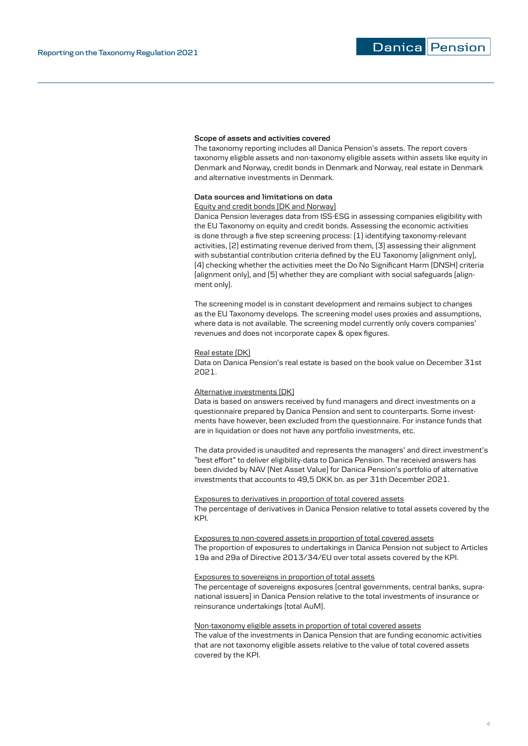Danica Pension

#### **Scope of assets and activities covered**

The taxonomy reporting includes all Danica Pension's assets. The report covers taxonomy eligible assets and non-taxonomy eligible assets within assets like equity in Denmark and Norway, credit bonds in Denmark and Norway, real estate in Denmark and alternative investments in Denmark.

#### **Data sources and limitations on data**

Equity and credit bonds (DK and Norway)

Danica Pension leverages data from ISS-ESG in assessing companies eligibility with the EU Taxonomy on equity and credit bonds. Assessing the economic activities is done through a five step screening process: (1) identifying taxonomy-relevant activities, (2) estimating revenue derived from them, (3) assessing their alignment with substantial contribution criteria defined by the EU Taxonomy (alignment only), (4) checking whether the activities meet the Do No Significant Harm (DNSH) criteria (alignment only), and (5) whether they are compliant with social safeguards (alignment only).

The screening model is in constant development and remains subject to changes as the EU Taxonomy develops. The screening model uses proxies and assumptions, where data is not available. The screening model currently only covers companies' revenues and does not incorporate capex & opex figures.

## Real estate (DK)

Data on Danica Pension's real estate is based on the book value on December 31st 2021.

#### Alternative investments (DK)

Data is based on answers received by fund managers and direct investments on a questionnaire prepared by Danica Pension and sent to counterparts. Some investments have however, been excluded from the questionnaire. For instance funds that are in liquidation or does not have any portfolio investments, etc.

The data provided is unaudited and represents the managers' and direct investment's "best effort" to deliver eligibility-data to Danica Pension. The received answers has been divided by NAV (Net Asset Value) for Danica Pension's portfolio of alternative investments that accounts to 49,5 DKK bn. as per 31th December 2021.

## Exposures to derivatives in proportion of total covered assets

The percentage of derivatives in Danica Pension relative to total assets covered by the KPI.

Exposures to non-covered assets in proportion of total covered assets The proportion of exposures to undertakings in Danica Pension not subject to Articles 19a and 29a of Directive 2013/34/EU over total assets covered by the KPI.

## Exposures to sovereigns in proportion of total assets

The percentage of sovereigns exposures (central governments, central banks, supranational issuers) in Danica Pension relative to the total investments of insurance or reinsurance undertakings (total AuM).

#### Non-taxonomy eligible assets in proportion of total covered assets

The value of the investments in Danica Pension that are funding economic activities that are not taxonomy eligible assets relative to the value of total covered assets covered by the KPI.